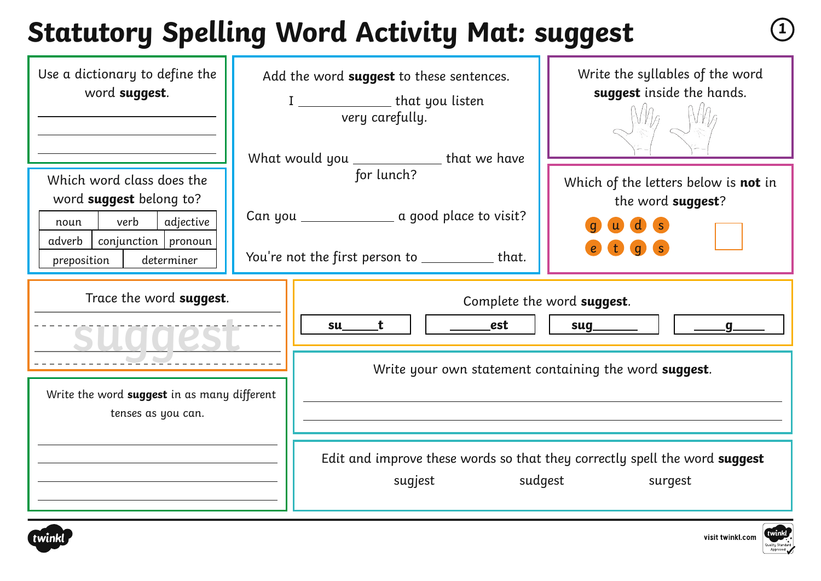# **Statutory Spelling Word Activity Mat: suggest <sup>1</sup>**

| Use a dictionary to define the<br>word suggest.                                                                                                    | Add the word suggest to these sentences.<br>I _______________________that you listen<br>very carefully.                                                          | Write the syllables of the word<br>suggest inside the hands.                                                                                                                                        |
|----------------------------------------------------------------------------------------------------------------------------------------------------|------------------------------------------------------------------------------------------------------------------------------------------------------------------|-----------------------------------------------------------------------------------------------------------------------------------------------------------------------------------------------------|
| Which word class does the<br>word suggest belong to?<br>verb<br>adjective<br>noun<br>$adverb$   conjunction   pronoun<br>preposition<br>determiner | What would you _____________ that we have<br>for lunch?<br>Can you __________________ a good place to visit?<br>You're not the first person to ___________ that. | Which of the letters below is not in<br>the word suggest?                                                                                                                                           |
| Trace the word suggest.<br>Write the word suggest in as many different<br>tenses as you can.                                                       | est<br>t<br>su                                                                                                                                                   | Complete the word suggest.<br>sug<br>Write your own statement containing the word suggest.<br>Edit and improve these words so that they correctly spell the word suggest<br>sugjest sudgest surgest |



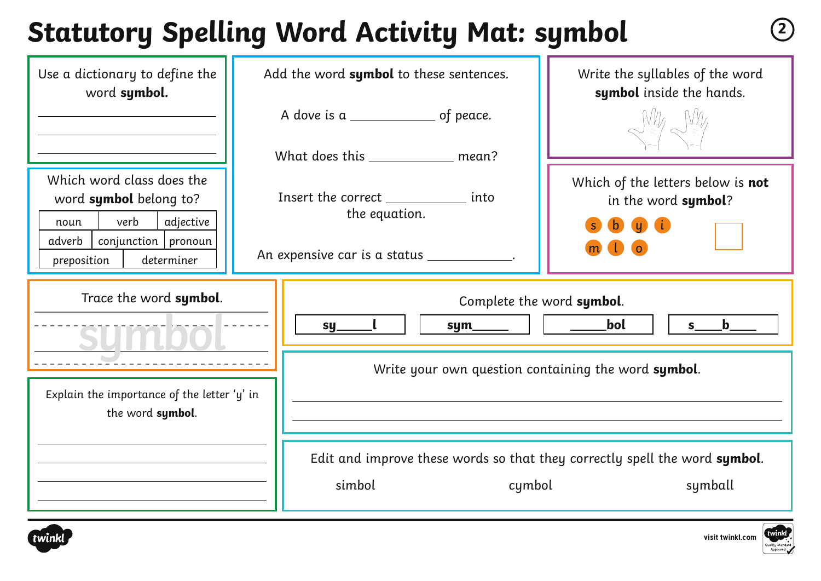## **Statutory Spelling Word Activity Mat: symbol <sup>2</sup>**

| Use a dictionary to define the<br>word symbol.                                                                                                     | Add the word symbol to these sentences. |                                                                                                       | Write the syllables of the word<br>symbol inside the hands.                             |
|----------------------------------------------------------------------------------------------------------------------------------------------------|-----------------------------------------|-------------------------------------------------------------------------------------------------------|-----------------------------------------------------------------------------------------|
|                                                                                                                                                    |                                         |                                                                                                       |                                                                                         |
|                                                                                                                                                    |                                         | What does this _____________ mean?                                                                    |                                                                                         |
| Which word class does the<br>word symbol belong to?<br>verb<br>adjective<br>noun<br>$conjunction$   pronoun<br>adverb<br>preposition<br>determiner |                                         | Insert the correct ______________ into<br>the equation.<br>An expensive car is a status ____________. | Which of the letters below is not<br>in the word symbol?<br><b>OD G</b><br>$\mathbf{b}$ |
| Trace the word symbol.                                                                                                                             |                                         | $sym$ $ $<br>sy_                                                                                      | Complete the word symbol.<br><b>Example 1</b><br>$s$ b                                  |
|                                                                                                                                                    |                                         | Write your own question containing the word symbol.                                                   |                                                                                         |
| Explain the importance of the letter 'y' in<br>the word symbol.                                                                                    |                                         |                                                                                                       |                                                                                         |
|                                                                                                                                                    |                                         | Edit and improve these words so that they correctly spell the word symbol.<br>simbol<br>cymbol        | symball                                                                                 |



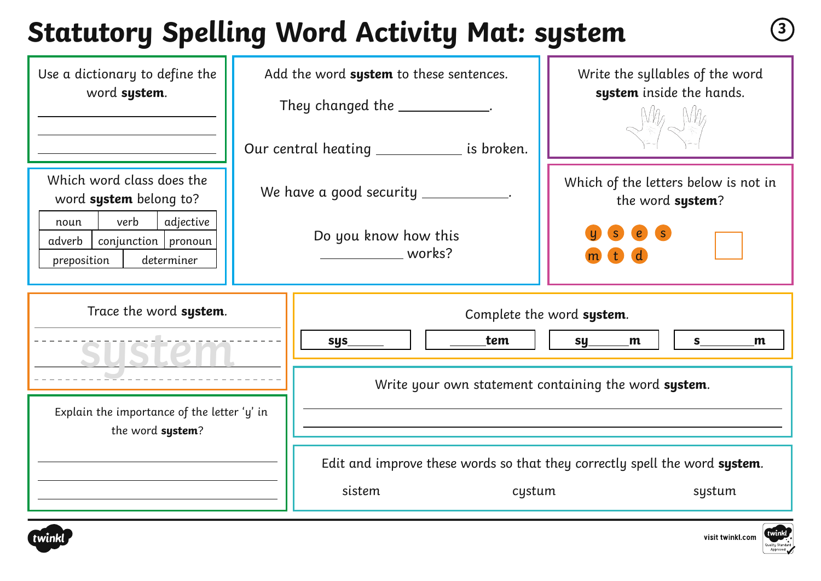## **Statutory Spelling Word Activity Mat: system <sup>3</sup>**

| Use a dictionary to define the<br>word system.                                                                                                   | Add the word system to these sentences.<br>They changed the _____________.<br>Our central heating _____________ is broken. | Write the syllables of the word<br>system inside the hands.                                            |  |  |
|--------------------------------------------------------------------------------------------------------------------------------------------------|----------------------------------------------------------------------------------------------------------------------------|--------------------------------------------------------------------------------------------------------|--|--|
| Which word class does the<br>word system belong to?<br>verb<br>adjective<br>noun<br>$conjunction$ pronoun<br>adverb<br>preposition<br>determiner | We have a good security __________<br>Do you know how this<br>works?                                                       | Which of the letters below is not in<br>the word system?                                               |  |  |
| Trace the word system.                                                                                                                           | tem<br>$sys_$                                                                                                              | Complete the word system.<br>S<br>sy<br>m<br>m<br>Write your own statement containing the word system. |  |  |
| Explain the importance of the letter 'y' in<br>the word system?                                                                                  | sistem                                                                                                                     | Edit and improve these words so that they correctly spell the word system.<br>cystum<br>systum         |  |  |





visit twinkl.com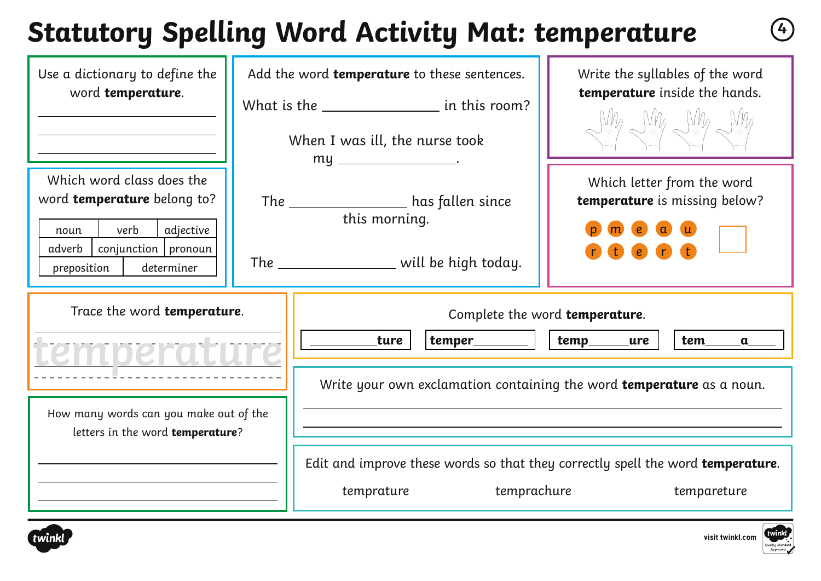## **Statutory Spelling Word Activity Mat: temperature <sup>4</sup>**

| Use a dictionary to define the<br>word temperature.                                                                                                            | Add the word temperature to these sentences.<br>What is the _______________________ in this room?<br>When I was ill, the nurse took    | Write the syllables of the word<br>temperature inside the hands.<br>MAG NAG NAG NAG                                                                  |
|----------------------------------------------------------------------------------------------------------------------------------------------------------------|----------------------------------------------------------------------------------------------------------------------------------------|------------------------------------------------------------------------------------------------------------------------------------------------------|
| Which word class does the<br>word <b>temperature</b> belong to?<br>verb<br>adjective<br>noun<br>adverb<br>$conjunction$   pronoun<br>determiner<br>preposition | my ________________________<br>The ___________________ has fallen since<br>this morning.<br>The __________________ will be high today. | Which letter from the word<br>temperature is missing below?                                                                                          |
| Trace the word temperature.<br>emperati                                                                                                                        | ture                                                                                                                                   | Complete the word temperature.<br>temp____ure<br>tem<br>$\mathbf{a}$<br>Write your own exclamation containing the word <b>temperature</b> as a noun. |
| How many words can you make out of the<br>letters in the word temperature?                                                                                     | temprachure<br>temprature                                                                                                              | Edit and improve these words so that they correctly spell the word temperature.<br>tempareture                                                       |